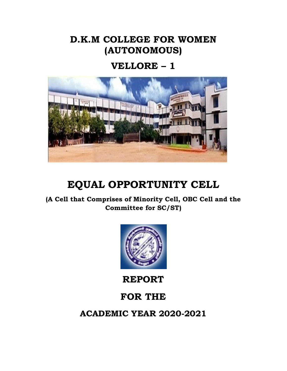## **D.K.M COLLEGE FOR WOMEN (AUTONOMOUS)**

## **VELLORE – 1**



# **EQUAL OPPORTUNITY CELL**

**(A Cell that Comprises of Minority Cell, OBC Cell and the Committee for SC/ST)**



**REPORT** 

## **FOR THE**

**ACADEMIC YEAR 2020-2021**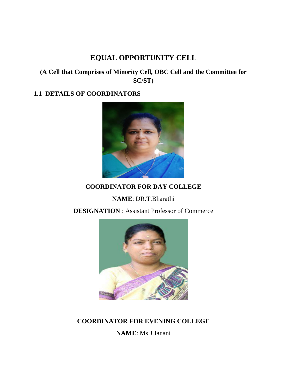## **EQUAL OPPORTUNITY CELL**

### **(A Cell that Comprises of Minority Cell, OBC Cell and the Committee for SC/ST)**

### **1.1 DETAILS OF COORDINATORS**



## **COORDINATOR FOR DAY COLLEGE**

**NAME**: DR.T.Bharathi

**DESIGNATION** : Assistant Professor of Commerce



### **COORDINATOR FOR EVENING COLLEGE**

**NAME**: Ms.J.Janani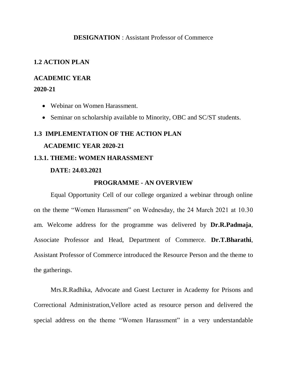#### **DESIGNATION** : Assistant Professor of Commerce

#### **1.2 ACTION PLAN**

#### **ACADEMIC YEAR**

#### **2020-21**

- Webinar on Women Harassment.
- Seminar on scholarship available to Minority, OBC and SC/ST students.

## **1.3 IMPLEMENTATION OF THE ACTION PLAN ACADEMIC YEAR 2020-21 1.3.1. THEME: WOMEN HARASSMENT**

#### **DATE: 24.03.2021**

#### **PROGRAMME - AN OVERVIEW**

Equal Opportunity Cell of our college organized a webinar through online on the theme "Women Harassment" on Wednesday, the 24 March 2021 at 10.30 am. Welcome address for the programme was delivered by **Dr.R.Padmaja**, Associate Professor and Head, Department of Commerce. **Dr.T.Bharathi**, Assistant Professor of Commerce introduced the Resource Person and the theme to the gatherings.

Mrs.R.Radhika, Advocate and Guest Lecturer in Academy for Prisons and Correctional Administration,Vellore acted as resource person and delivered the special address on the theme "Women Harassment" in a very understandable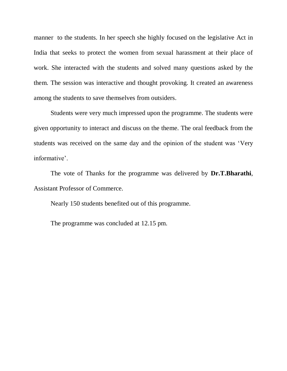manner to the students. In her speech she highly focused on the legislative Act in India that seeks to protect the women from sexual harassment at their place of work. She interacted with the students and solved many questions asked by the them. The session was interactive and thought provoking. It created an awareness among the students to save themselves from outsiders.

Students were very much impressed upon the programme. The students were given opportunity to interact and discuss on the theme. The oral feedback from the students was received on the same day and the opinion of the student was 'Very informative'.

The vote of Thanks for the programme was delivered by **Dr.T.Bharathi**, Assistant Professor of Commerce.

Nearly 150 students benefited out of this programme.

The programme was concluded at 12.15 pm.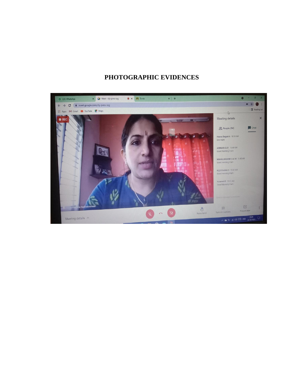### **PHOTOGRAPHIC EVIDENCES**